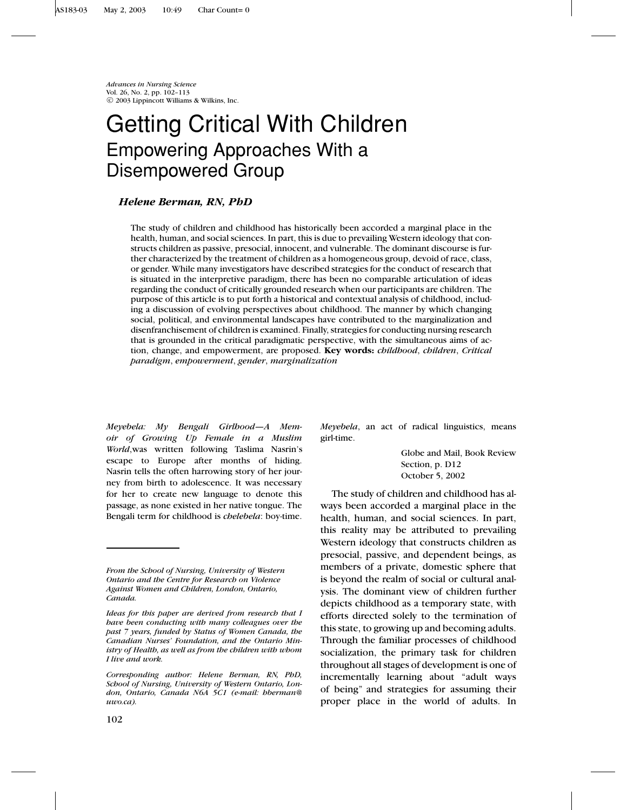*Advances in Nursing Science* Vol. 26, No. 2, pp. 102–113 c 2003 Lippincott Williams & Wilkins, Inc.

# Getting Critical With Children Empowering Approaches With a Disempowered Group

# *Helene Berman, RN, PhD*

The study of children and childhood has historically been accorded a marginal place in the health, human, and social sciences. In part, this is due to prevailing Western ideology that constructs children as passive, presocial, innocent, and vulnerable. The dominant discourse is further characterized by the treatment of children as a homogeneous group, devoid of race, class, or gender. While many investigators have described strategies for the conduct of research that is situated in the interpretive paradigm, there has been no comparable articulation of ideas regarding the conduct of critically grounded research when our participants are children. The purpose of this article is to put forth a historical and contextual analysis of childhood, including a discussion of evolving perspectives about childhood. The manner by which changing social, political, and environmental landscapes have contributed to the marginalization and disenfranchisement of children is examined. Finally, strategies for conducting nursing research that is grounded in the critical paradigmatic perspective, with the simultaneous aims of action, change, and empowerment, are proposed. **Key words:** *childhood*, *children*, *Critical paradigm*, *empowerment*, *gender*, *marginalization*

*Meyebela: My Bengali Girlhood—A Memoir of Growing Up Female in a Muslim World*,was written following Taslima Nasrin's escape to Europe after months of hiding. Nasrin tells the often harrowing story of her journey from birth to adolescence. It was necessary for her to create new language to denote this passage, as none existed in her native tongue. The Bengali term for childhood is *chelebela*: boy-time.

*Meyebela*, an act of radical linguistics, means girl-time.

> Globe and Mail, Book Review Section, p. D12 October 5, 2002

The study of children and childhood has always been accorded a marginal place in the health, human, and social sciences. In part, this reality may be attributed to prevailing Western ideology that constructs children as presocial, passive, and dependent beings, as members of a private, domestic sphere that is beyond the realm of social or cultural analysis. The dominant view of children further depicts childhood as a temporary state, with efforts directed solely to the termination of this state, to growing up and becoming adults. Through the familiar processes of childhood socialization, the primary task for children throughout all stages of development is one of incrementally learning about "adult ways of being" and strategies for assuming their proper place in the world of adults. In

*From the School of Nursing, University of Western Ontario and the Centre for Research on Violence Against Women and Children, London, Ontario, Canada.*

*Ideas for this paper are derived from research that I have been conducting with many colleagues over the past 7 years, funded by Status of Women Canada, the Canadian Nurses' Foundation, and the Ontario Ministry of Health, as well as from the children with whom I live and work.*

*Corresponding author: Helene Berman, RN, PhD, School of Nursing, University of Western Ontario, London, Ontario, Canada N6A 5C1 (e-mail: hberman@ uwo.ca).*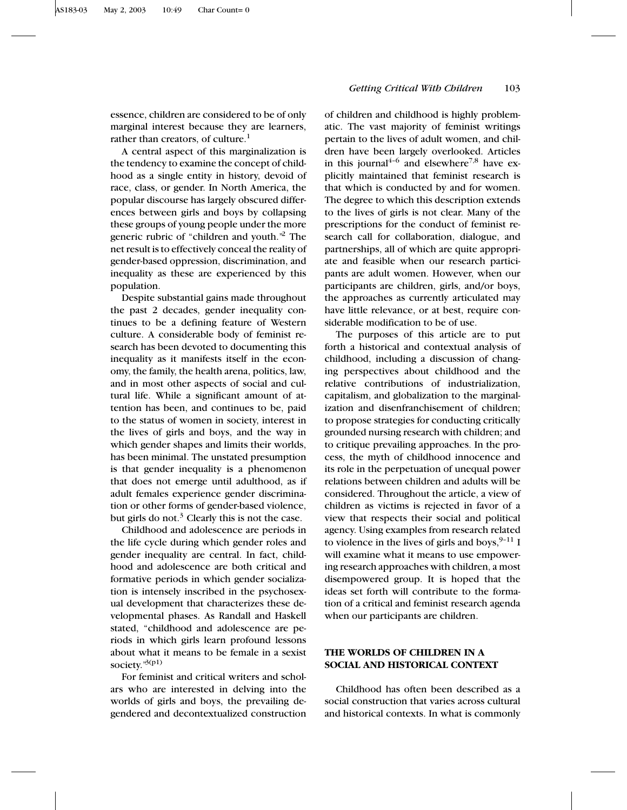essence, children are considered to be of only marginal interest because they are learners, rather than creators, of culture. $<sup>1</sup>$ </sup>

A central aspect of this marginalization is the tendency to examine the concept of childhood as a single entity in history, devoid of race, class, or gender. In North America, the popular discourse has largely obscured differences between girls and boys by collapsing these groups of young people under the more generic rubric of "children and youth."<sup>2</sup> The net result is to effectively conceal the reality of gender-based oppression, discrimination, and inequality as these are experienced by this population.

Despite substantial gains made throughout the past 2 decades, gender inequality continues to be a defining feature of Western culture. A considerable body of feminist research has been devoted to documenting this inequality as it manifests itself in the economy, the family, the health arena, politics, law, and in most other aspects of social and cultural life. While a significant amount of attention has been, and continues to be, paid to the status of women in society, interest in the lives of girls and boys, and the way in which gender shapes and limits their worlds, has been minimal. The unstated presumption is that gender inequality is a phenomenon that does not emerge until adulthood, as if adult females experience gender discrimination or other forms of gender-based violence, but girls do not.<sup>3</sup> Clearly this is not the case.

Childhood and adolescence are periods in the life cycle during which gender roles and gender inequality are central. In fact, childhood and adolescence are both critical and formative periods in which gender socialization is intensely inscribed in the psychosexual development that characterizes these developmental phases. As Randall and Haskell stated, "childhood and adolescence are periods in which girls learn profound lessons about what it means to be female in a sexist society."3(p1)

For feminist and critical writers and scholars who are interested in delving into the worlds of girls and boys, the prevailing degendered and decontextualized construction

# *Getting Critical With Children* 103

of children and childhood is highly problematic. The vast majority of feminist writings pertain to the lives of adult women, and children have been largely overlooked. Articles in this journal<sup>4-6</sup> and elsewhere<sup>7,8</sup> have explicitly maintained that feminist research is that which is conducted by and for women. The degree to which this description extends to the lives of girls is not clear. Many of the prescriptions for the conduct of feminist research call for collaboration, dialogue, and partnerships, all of which are quite appropriate and feasible when our research participants are adult women. However, when our participants are children, girls, and/or boys, the approaches as currently articulated may have little relevance, or at best, require considerable modification to be of use.

The purposes of this article are to put forth a historical and contextual analysis of childhood, including a discussion of changing perspectives about childhood and the relative contributions of industrialization, capitalism, and globalization to the marginalization and disenfranchisement of children; to propose strategies for conducting critically grounded nursing research with children; and to critique prevailing approaches. In the process, the myth of childhood innocence and its role in the perpetuation of unequal power relations between children and adults will be considered. Throughout the article, a view of children as victims is rejected in favor of a view that respects their social and political agency. Using examples from research related to violence in the lives of girls and boys,  $9-11$  I will examine what it means to use empowering research approaches with children, a most disempowered group. It is hoped that the ideas set forth will contribute to the formation of a critical and feminist research agenda when our participants are children.

# **THE WORLDS OF CHILDREN IN A SOCIAL AND HISTORICAL CONTEXT**

Childhood has often been described as a social construction that varies across cultural and historical contexts. In what is commonly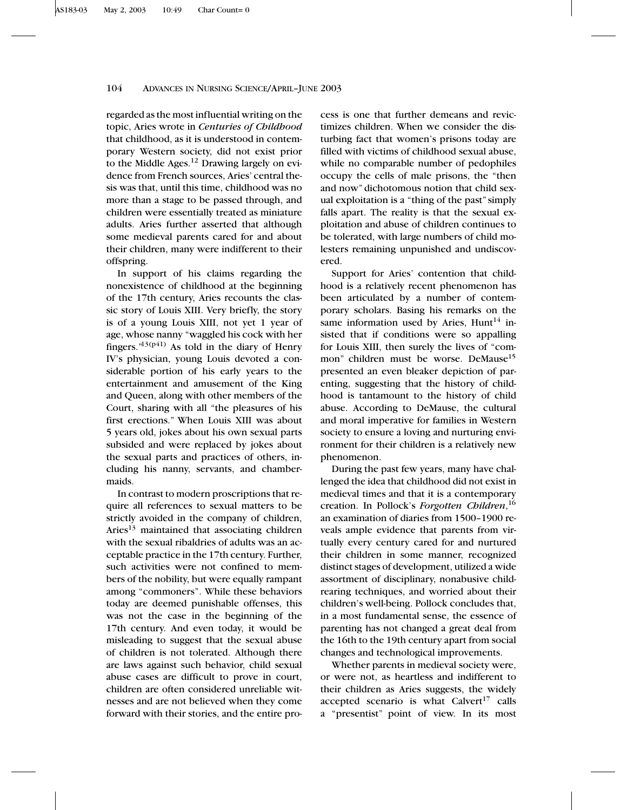regarded as the most influential writing on the topic, Aries wrote in *Centuries of Childhood* that childhood, as it is understood in contemporary Western society, did not exist prior to the Middle Ages. $12$  Drawing largely on evidence from French sources, Aries' central thesis was that, until this time, childhood was no more than a stage to be passed through, and children were essentially treated as miniature adults. Aries further asserted that although some medieval parents cared for and about their children, many were indifferent to their offspring.

In support of his claims regarding the nonexistence of childhood at the beginning of the 17th century, Aries recounts the classic story of Louis XIII. Very briefly, the story is of a young Louis XIII, not yet 1 year of age, whose nanny "waggled his cock with her fingers." $13(p41)$  As told in the diary of Henry IV's physician, young Louis devoted a considerable portion of his early years to the entertainment and amusement of the King and Queen, along with other members of the Court, sharing with all "the pleasures of his first erections." When Louis XIII was about 5 years old, jokes about his own sexual parts subsided and were replaced by jokes about the sexual parts and practices of others, including his nanny, servants, and chambermaids.

In contrast to modern proscriptions that require all references to sexual matters to be strictly avoided in the company of children, Aries<sup>13</sup> maintained that associating children with the sexual ribaldries of adults was an acceptable practice in the 17th century. Further, such activities were not confined to members of the nobility, but were equally rampant among "commoners". While these behaviors today are deemed punishable offenses, this was not the case in the beginning of the 17th century. And even today, it would be misleading to suggest that the sexual abuse of children is not tolerated. Although there are laws against such behavior, child sexual abuse cases are difficult to prove in court, children are often considered unreliable witnesses and are not believed when they come forward with their stories, and the entire process is one that further demeans and revictimizes children. When we consider the disturbing fact that women's prisons today are filled with victims of childhood sexual abuse, while no comparable number of pedophiles occupy the cells of male prisons, the "then and now" dichotomous notion that child sexual exploitation is a "thing of the past"simply falls apart. The reality is that the sexual exploitation and abuse of children continues to be tolerated, with large numbers of child molesters remaining unpunished and undiscovered.

Support for Aries' contention that childhood is a relatively recent phenomenon has been articulated by a number of contemporary scholars. Basing his remarks on the same information used by Aries, Hunt<sup>14</sup> insisted that if conditions were so appalling for Louis XIII, then surely the lives of "common" children must be worse. DeMause<sup>15</sup> presented an even bleaker depiction of parenting, suggesting that the history of childhood is tantamount to the history of child abuse. According to DeMause, the cultural and moral imperative for families in Western society to ensure a loving and nurturing environment for their children is a relatively new phenomenon.

During the past few years, many have challenged the idea that childhood did not exist in medieval times and that it is a contemporary creation. In Pollock's *Forgotten Children*, 16 an examination of diaries from 1500–1900 reveals ample evidence that parents from virtually every century cared for and nurtured their children in some manner, recognized distinct stages of development, utilized a wide assortment of disciplinary, nonabusive childrearing techniques, and worried about their children's well-being. Pollock concludes that, in a most fundamental sense, the essence of parenting has not changed a great deal from the 16th to the 19th century apart from social changes and technological improvements.

Whether parents in medieval society were, or were not, as heartless and indifferent to their children as Aries suggests, the widely accepted scenario is what Calvert<sup>17</sup> calls a "presentist" point of view. In its most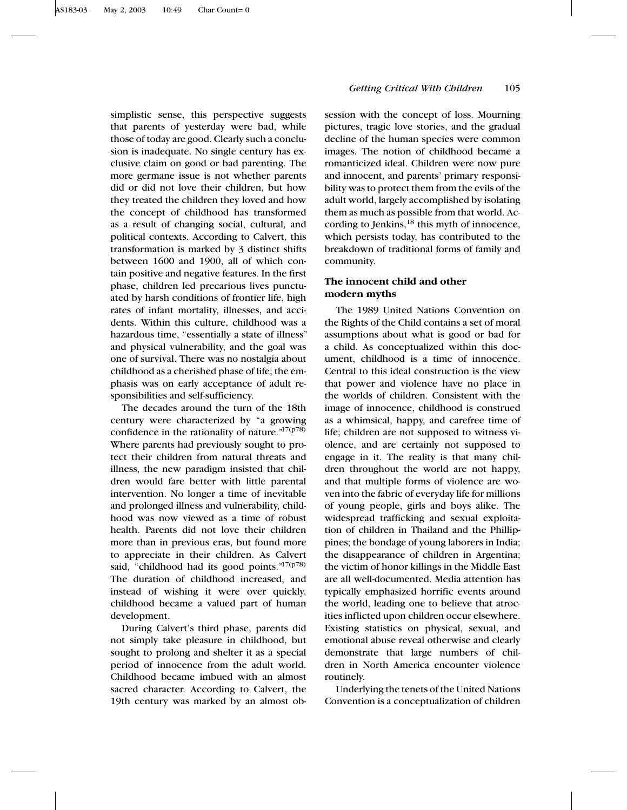simplistic sense, this perspective suggests that parents of yesterday were bad, while those of today are good. Clearly such a conclusion is inadequate. No single century has exclusive claim on good or bad parenting. The more germane issue is not whether parents did or did not love their children, but how they treated the children they loved and how the concept of childhood has transformed as a result of changing social, cultural, and political contexts. According to Calvert, this transformation is marked by 3 distinct shifts between 1600 and 1900, all of which contain positive and negative features. In the first phase, children led precarious lives punctuated by harsh conditions of frontier life, high rates of infant mortality, illnesses, and accidents. Within this culture, childhood was a hazardous time, "essentially a state of illness" and physical vulnerability, and the goal was one of survival. There was no nostalgia about childhood as a cherished phase of life; the emphasis was on early acceptance of adult responsibilities and self-sufficiency.

The decades around the turn of the 18th century were characterized by "a growing confidence in the rationality of nature." $17(p78)$ Where parents had previously sought to protect their children from natural threats and illness, the new paradigm insisted that children would fare better with little parental intervention. No longer a time of inevitable and prolonged illness and vulnerability, childhood was now viewed as a time of robust health. Parents did not love their children more than in previous eras, but found more to appreciate in their children. As Calvert said, "childhood had its good points." $17(p78)$ The duration of childhood increased, and instead of wishing it were over quickly, childhood became a valued part of human development.

During Calvert's third phase, parents did not simply take pleasure in childhood, but sought to prolong and shelter it as a special period of innocence from the adult world. Childhood became imbued with an almost sacred character. According to Calvert, the 19th century was marked by an almost ob-

# *Getting Critical With Children* 105

session with the concept of loss. Mourning pictures, tragic love stories, and the gradual decline of the human species were common images. The notion of childhood became a romanticized ideal. Children were now pure and innocent, and parents' primary responsibility was to protect them from the evils of the adult world, largely accomplished by isolating them as much as possible from that world. According to Jenkins,<sup>18</sup> this myth of innocence, which persists today, has contributed to the breakdown of traditional forms of family and community.

# **The innocent child and other modern myths**

The 1989 United Nations Convention on the Rights of the Child contains a set of moral assumptions about what is good or bad for a child. As conceptualized within this document, childhood is a time of innocence. Central to this ideal construction is the view that power and violence have no place in the worlds of children. Consistent with the image of innocence, childhood is construed as a whimsical, happy, and carefree time of life; children are not supposed to witness violence, and are certainly not supposed to engage in it. The reality is that many children throughout the world are not happy, and that multiple forms of violence are woven into the fabric of everyday life for millions of young people, girls and boys alike. The widespread trafficking and sexual exploitation of children in Thailand and the Phillippines; the bondage of young laborers in India; the disappearance of children in Argentina; the victim of honor killings in the Middle East are all well-documented. Media attention has typically emphasized horrific events around the world, leading one to believe that atrocities inflicted upon children occur elsewhere. Existing statistics on physical, sexual, and emotional abuse reveal otherwise and clearly demonstrate that large numbers of children in North America encounter violence routinely.

Underlying the tenets of the United Nations Convention is a conceptualization of children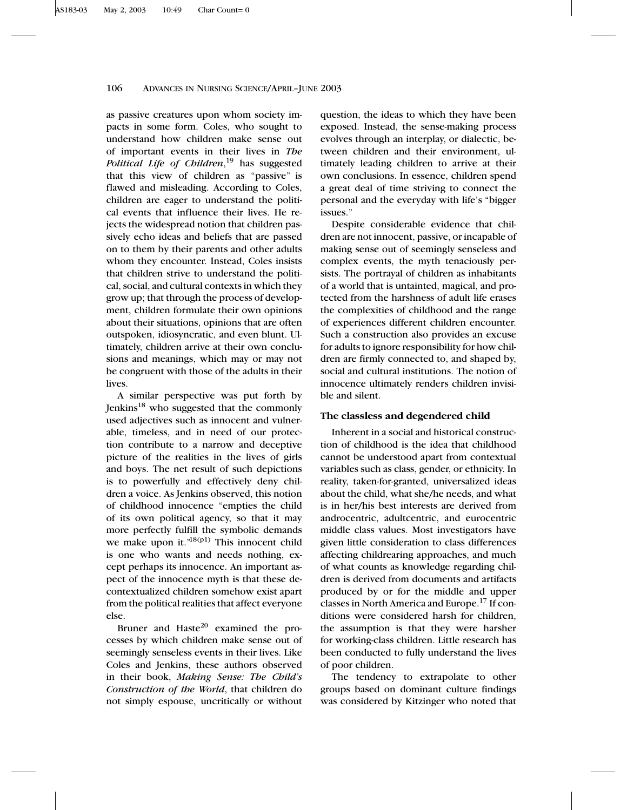as passive creatures upon whom society impacts in some form. Coles, who sought to understand how children make sense out of important events in their lives in *The Political Life of Children*, <sup>19</sup> has suggested that this view of children as "passive" is flawed and misleading. According to Coles, children are eager to understand the political events that influence their lives. He rejects the widespread notion that children passively echo ideas and beliefs that are passed on to them by their parents and other adults whom they encounter. Instead, Coles insists that children strive to understand the political, social, and cultural contexts in which they grow up; that through the process of development, children formulate their own opinions about their situations, opinions that are often outspoken, idiosyncratic, and even blunt. Ultimately, children arrive at their own conclusions and meanings, which may or may not be congruent with those of the adults in their lives.

A similar perspective was put forth by Jenkins18 who suggested that the commonly used adjectives such as innocent and vulnerable, timeless, and in need of our protection contribute to a narrow and deceptive picture of the realities in the lives of girls and boys. The net result of such depictions is to powerfully and effectively deny children a voice. As Jenkins observed, this notion of childhood innocence "empties the child of its own political agency, so that it may more perfectly fulfill the symbolic demands we make upon it." $18(p1)$  This innocent child is one who wants and needs nothing, except perhaps its innocence. An important aspect of the innocence myth is that these decontextualized children somehow exist apart from the political realities that affect everyone else.

Bruner and Hast $e^{20}$  examined the processes by which children make sense out of seemingly senseless events in their lives. Like Coles and Jenkins, these authors observed in their book, *Making Sense: The Child's Construction of the World*, that children do not simply espouse, uncritically or without

question, the ideas to which they have been exposed. Instead, the sense-making process evolves through an interplay, or dialectic, between children and their environment, ultimately leading children to arrive at their own conclusions. In essence, children spend a great deal of time striving to connect the personal and the everyday with life's "bigger issues."

Despite considerable evidence that children are not innocent, passive, or incapable of making sense out of seemingly senseless and complex events, the myth tenaciously persists. The portrayal of children as inhabitants of a world that is untainted, magical, and protected from the harshness of adult life erases the complexities of childhood and the range of experiences different children encounter. Such a construction also provides an excuse for adults to ignore responsibility for how children are firmly connected to, and shaped by, social and cultural institutions. The notion of innocence ultimately renders children invisible and silent.

# **The classless and degendered child**

Inherent in a social and historical construction of childhood is the idea that childhood cannot be understood apart from contextual variables such as class, gender, or ethnicity. In reality, taken-for-granted, universalized ideas about the child, what she/he needs, and what is in her/his best interests are derived from androcentric, adultcentric, and eurocentric middle class values. Most investigators have given little consideration to class differences affecting childrearing approaches, and much of what counts as knowledge regarding children is derived from documents and artifacts produced by or for the middle and upper classes in North America and Europe.17 If conditions were considered harsh for children, the assumption is that they were harsher for working-class children. Little research has been conducted to fully understand the lives of poor children.

The tendency to extrapolate to other groups based on dominant culture findings was considered by Kitzinger who noted that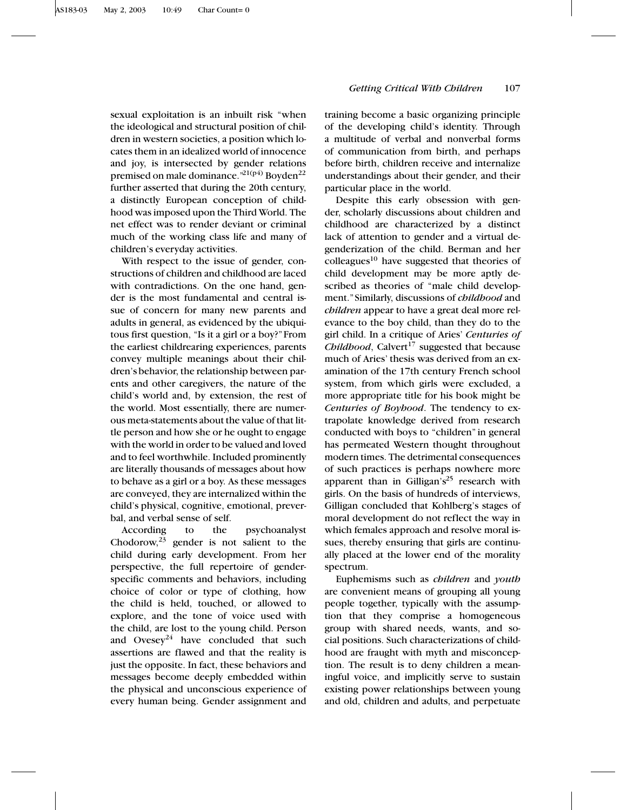sexual exploitation is an inbuilt risk "when the ideological and structural position of children in western societies, a position which locates them in an idealized world of innocence and joy, is intersected by gender relations premised on male dominance.<sup>"21(p4)</sup> Boyden<sup>22</sup> further asserted that during the 20th century, a distinctly European conception of childhood was imposed upon the Third World. The net effect was to render deviant or criminal much of the working class life and many of children's everyday activities.

With respect to the issue of gender, constructions of children and childhood are laced with contradictions. On the one hand, gender is the most fundamental and central issue of concern for many new parents and adults in general, as evidenced by the ubiquitous first question, "Is it a girl or a boy?"From the earliest childrearing experiences, parents convey multiple meanings about their children's behavior, the relationship between parents and other caregivers, the nature of the child's world and, by extension, the rest of the world. Most essentially, there are numerous meta-statements about the value of that little person and how she or he ought to engage with the world in order to be valued and loved and to feel worthwhile. Included prominently are literally thousands of messages about how to behave as a girl or a boy. As these messages are conveyed, they are internalized within the child's physical, cognitive, emotional, preverbal, and verbal sense of self.

According to the psychoanalyst Chodorow,  $23$  gender is not salient to the child during early development. From her perspective, the full repertoire of genderspecific comments and behaviors, including choice of color or type of clothing, how the child is held, touched, or allowed to explore, and the tone of voice used with the child, are lost to the young child. Person and Ovesey<sup>24</sup> have concluded that such assertions are flawed and that the reality is just the opposite. In fact, these behaviors and messages become deeply embedded within the physical and unconscious experience of every human being. Gender assignment and training become a basic organizing principle of the developing child's identity. Through a multitude of verbal and nonverbal forms of communication from birth, and perhaps before birth, children receive and internalize understandings about their gender, and their particular place in the world.

Despite this early obsession with gender, scholarly discussions about children and childhood are characterized by a distinct lack of attention to gender and a virtual degenderization of the child. Berman and her colleagues $10$  have suggested that theories of child development may be more aptly described as theories of "male child development."Similarly, discussions of *childhood* and *children* appear to have a great deal more relevance to the boy child, than they do to the girl child. In a critique of Aries' *Centuries of Childhood*, Calvert<sup>17</sup> suggested that because much of Aries' thesis was derived from an examination of the 17th century French school system, from which girls were excluded, a more appropriate title for his book might be *Centuries of Boyhood*. The tendency to extrapolate knowledge derived from research conducted with boys to "children" in general has permeated Western thought throughout modern times. The detrimental consequences of such practices is perhaps nowhere more apparent than in Gilligan's<sup>25</sup> research with girls. On the basis of hundreds of interviews, Gilligan concluded that Kohlberg's stages of moral development do not reflect the way in which females approach and resolve moral issues, thereby ensuring that girls are continually placed at the lower end of the morality spectrum.

Euphemisms such as *children* and *youth* are convenient means of grouping all young people together, typically with the assumption that they comprise a homogeneous group with shared needs, wants, and social positions. Such characterizations of childhood are fraught with myth and misconception. The result is to deny children a meaningful voice, and implicitly serve to sustain existing power relationships between young and old, children and adults, and perpetuate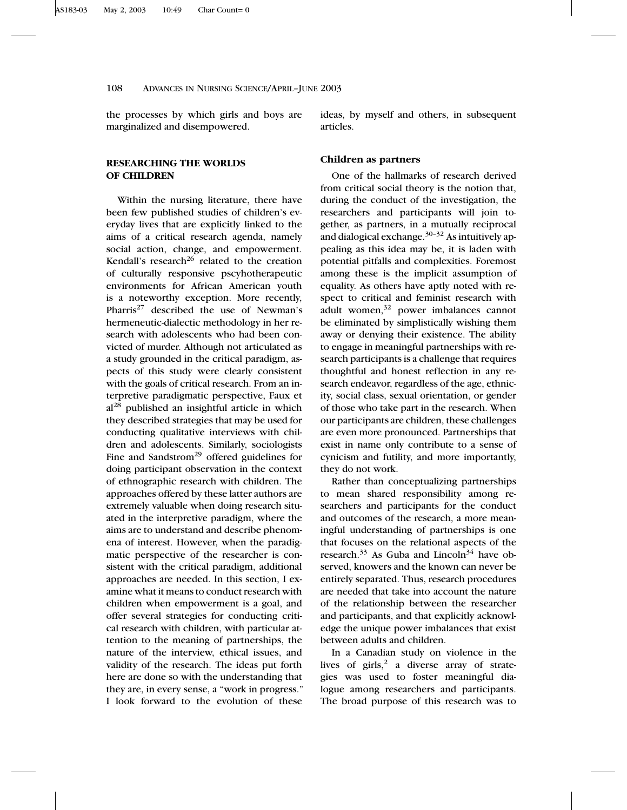the processes by which girls and boys are marginalized and disempowered.

**RESEARCHING THE WORLDS OF CHILDREN**

Within the nursing literature, there have been few published studies of children's everyday lives that are explicitly linked to the aims of a critical research agenda, namely social action, change, and empowerment. Kendall's research<sup>26</sup> related to the creation of culturally responsive pscyhotherapeutic environments for African American youth is a noteworthy exception. More recently, Pharris<sup>27</sup> described the use of Newman's hermeneutic-dialectic methodology in her research with adolescents who had been convicted of murder. Although not articulated as a study grounded in the critical paradigm, aspects of this study were clearly consistent with the goals of critical research. From an interpretive paradigmatic perspective, Faux et al<sup>28</sup> published an insightful article in which they described strategies that may be used for conducting qualitative interviews with children and adolescents. Similarly, sociologists Fine and Sandstrom<sup>29</sup> offered guidelines for doing participant observation in the context of ethnographic research with children. The approaches offered by these latter authors are extremely valuable when doing research situated in the interpretive paradigm, where the aims are to understand and describe phenomena of interest. However, when the paradigmatic perspective of the researcher is consistent with the critical paradigm, additional approaches are needed. In this section, I examine what it means to conduct research with children when empowerment is a goal, and offer several strategies for conducting critical research with children, with particular attention to the meaning of partnerships, the nature of the interview, ethical issues, and validity of the research. The ideas put forth here are done so with the understanding that they are, in every sense, a "work in progress." I look forward to the evolution of these ideas, by myself and others, in subsequent articles.

# **Children as partners**

One of the hallmarks of research derived from critical social theory is the notion that, during the conduct of the investigation, the researchers and participants will join together, as partners, in a mutually reciprocal and dialogical exchange. $30-32$  As intuitively appealing as this idea may be, it is laden with potential pitfalls and complexities. Foremost among these is the implicit assumption of equality. As others have aptly noted with respect to critical and feminist research with adult women,<sup>32</sup> power imbalances cannot be eliminated by simplistically wishing them away or denying their existence. The ability to engage in meaningful partnerships with research participants is a challenge that requires thoughtful and honest reflection in any research endeavor, regardless of the age, ethnicity, social class, sexual orientation, or gender of those who take part in the research. When our participants are children, these challenges are even more pronounced. Partnerships that exist in name only contribute to a sense of cynicism and futility, and more importantly, they do not work.

Rather than conceptualizing partnerships to mean shared responsibility among researchers and participants for the conduct and outcomes of the research, a more meaningful understanding of partnerships is one that focuses on the relational aspects of the research.<sup>33</sup> As Guba and Lincoln<sup>34</sup> have observed, knowers and the known can never be entirely separated. Thus, research procedures are needed that take into account the nature of the relationship between the researcher and participants, and that explicitly acknowledge the unique power imbalances that exist between adults and children.

In a Canadian study on violence in the lives of  $girls<sub>1</sub><sup>2</sup>$  a diverse array of strategies was used to foster meaningful dialogue among researchers and participants. The broad purpose of this research was to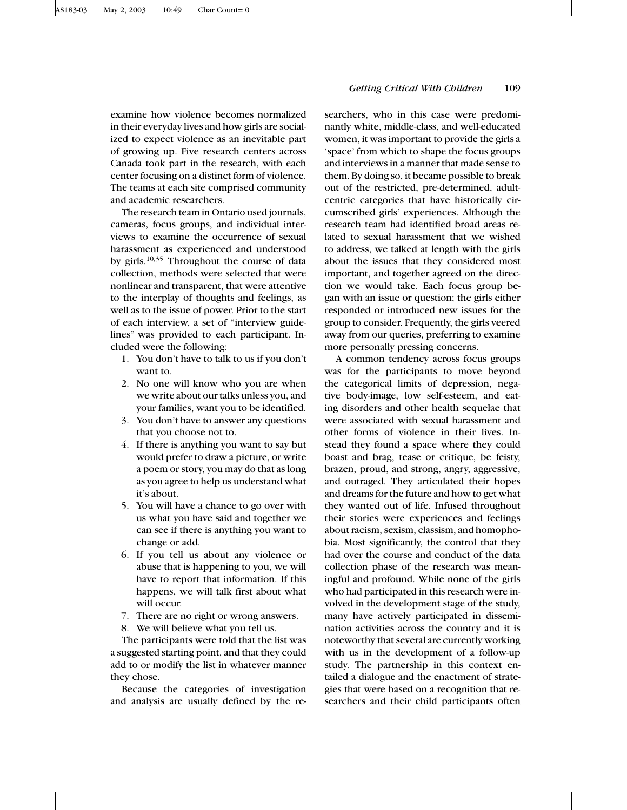examine how violence becomes normalized in their everyday lives and how girls are socialized to expect violence as an inevitable part of growing up. Five research centers across Canada took part in the research, with each center focusing on a distinct form of violence. The teams at each site comprised community and academic researchers.

The research team in Ontario used journals, cameras, focus groups, and individual interviews to examine the occurrence of sexual harassment as experienced and understood by girls.<sup>10,35</sup> Throughout the course of data collection, methods were selected that were nonlinear and transparent, that were attentive to the interplay of thoughts and feelings, as well as to the issue of power. Prior to the start of each interview, a set of "interview guidelines" was provided to each participant. Included were the following:

- 1. You don't have to talk to us if you don't want to.
- 2. No one will know who you are when we write about our talks unless you, and your families, want you to be identified.
- 3. You don't have to answer any questions that you choose not to.
- 4. If there is anything you want to say but would prefer to draw a picture, or write a poem or story, you may do that as long as you agree to help us understand what it's about.
- 5. You will have a chance to go over with us what you have said and together we can see if there is anything you want to change or add.
- 6. If you tell us about any violence or abuse that is happening to you, we will have to report that information. If this happens, we will talk first about what will occur.
- 7. There are no right or wrong answers.
- 8. We will believe what you tell us.

The participants were told that the list was a suggested starting point, and that they could add to or modify the list in whatever manner they chose.

Because the categories of investigation and analysis are usually defined by the re-

# *Getting Critical With Children* 109

searchers, who in this case were predominantly white, middle-class, and well-educated women, it was important to provide the girls a 'space' from which to shape the focus groups and interviews in a manner that made sense to them. By doing so, it became possible to break out of the restricted, pre-determined, adultcentric categories that have historically circumscribed girls' experiences. Although the research team had identified broad areas related to sexual harassment that we wished to address, we talked at length with the girls about the issues that they considered most important, and together agreed on the direction we would take. Each focus group began with an issue or question; the girls either responded or introduced new issues for the group to consider. Frequently, the girls veered away from our queries, preferring to examine more personally pressing concerns.

A common tendency across focus groups was for the participants to move beyond the categorical limits of depression, negative body-image, low self-esteem, and eating disorders and other health sequelae that were associated with sexual harassment and other forms of violence in their lives. Instead they found a space where they could boast and brag, tease or critique, be feisty, brazen, proud, and strong, angry, aggressive, and outraged. They articulated their hopes and dreams for the future and how to get what they wanted out of life. Infused throughout their stories were experiences and feelings about racism, sexism, classism, and homophobia. Most significantly, the control that they had over the course and conduct of the data collection phase of the research was meaningful and profound. While none of the girls who had participated in this research were involved in the development stage of the study, many have actively participated in dissemination activities across the country and it is noteworthy that several are currently working with us in the development of a follow-up study. The partnership in this context entailed a dialogue and the enactment of strategies that were based on a recognition that researchers and their child participants often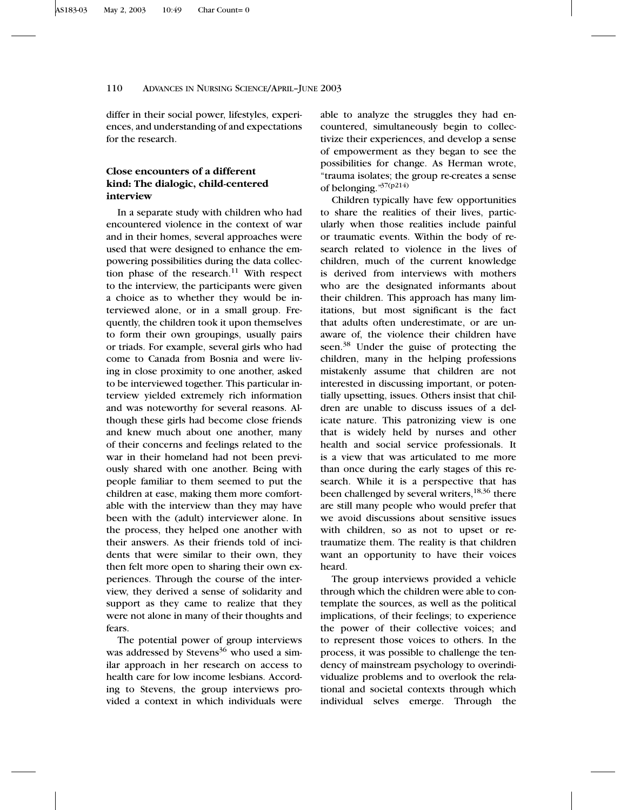differ in their social power, lifestyles, experiences, and understanding of and expectations for the research.

# **Close encounters of a different kind: The dialogic, child-centered interview**

In a separate study with children who had encountered violence in the context of war and in their homes, several approaches were used that were designed to enhance the empowering possibilities during the data collection phase of the research.<sup>11</sup> With respect to the interview, the participants were given a choice as to whether they would be interviewed alone, or in a small group. Frequently, the children took it upon themselves to form their own groupings, usually pairs or triads. For example, several girls who had come to Canada from Bosnia and were living in close proximity to one another, asked to be interviewed together. This particular interview yielded extremely rich information and was noteworthy for several reasons. Although these girls had become close friends and knew much about one another, many of their concerns and feelings related to the war in their homeland had not been previously shared with one another. Being with people familiar to them seemed to put the children at ease, making them more comfortable with the interview than they may have been with the (adult) interviewer alone. In the process, they helped one another with their answers. As their friends told of incidents that were similar to their own, they then felt more open to sharing their own experiences. Through the course of the interview, they derived a sense of solidarity and support as they came to realize that they were not alone in many of their thoughts and fears.

The potential power of group interviews was addressed by Stevens<sup>36</sup> who used a similar approach in her research on access to health care for low income lesbians. According to Stevens, the group interviews provided a context in which individuals were able to analyze the struggles they had encountered, simultaneously begin to collectivize their experiences, and develop a sense of empowerment as they began to see the possibilities for change. As Herman wrote, "trauma isolates; the group re-creates a sense of belonging."37(p214)

Children typically have few opportunities to share the realities of their lives, particularly when those realities include painful or traumatic events. Within the body of research related to violence in the lives of children, much of the current knowledge is derived from interviews with mothers who are the designated informants about their children. This approach has many limitations, but most significant is the fact that adults often underestimate, or are unaware of, the violence their children have seen.<sup>38</sup> Under the guise of protecting the children, many in the helping professions mistakenly assume that children are not interested in discussing important, or potentially upsetting, issues. Others insist that children are unable to discuss issues of a delicate nature. This patronizing view is one that is widely held by nurses and other health and social service professionals. It is a view that was articulated to me more than once during the early stages of this research. While it is a perspective that has been challenged by several writers,<sup>18,36</sup> there are still many people who would prefer that we avoid discussions about sensitive issues with children, so as not to upset or retraumatize them. The reality is that children want an opportunity to have their voices heard.

The group interviews provided a vehicle through which the children were able to contemplate the sources, as well as the political implications, of their feelings; to experience the power of their collective voices; and to represent those voices to others. In the process, it was possible to challenge the tendency of mainstream psychology to overindividualize problems and to overlook the relational and societal contexts through which individual selves emerge. Through the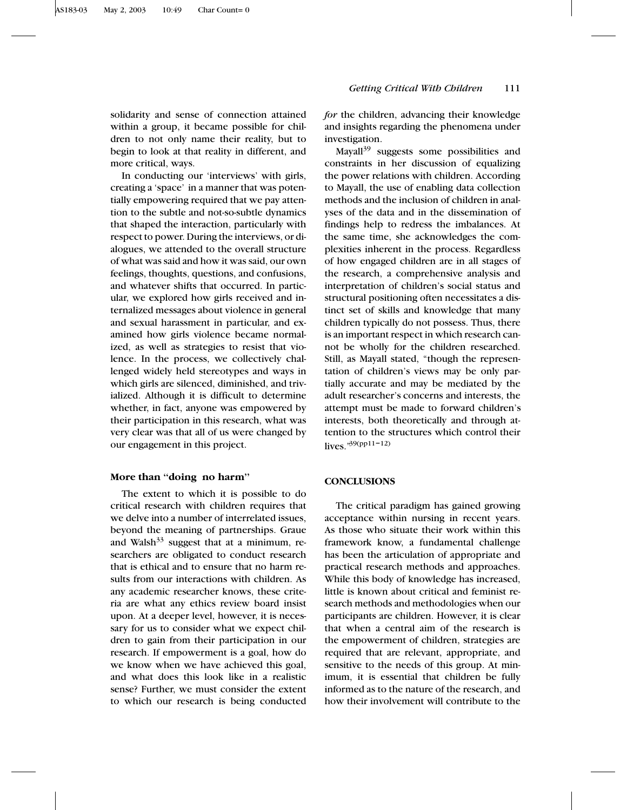solidarity and sense of connection attained within a group, it became possible for children to not only name their reality, but to begin to look at that reality in different, and more critical, ways.

In conducting our 'interviews' with girls, creating a 'space' in a manner that was potentially empowering required that we pay attention to the subtle and not-so-subtle dynamics that shaped the interaction, particularly with respect to power. During the interviews, or dialogues, we attended to the overall structure of what was said and how it was said, our own feelings, thoughts, questions, and confusions, and whatever shifts that occurred. In particular, we explored how girls received and internalized messages about violence in general and sexual harassment in particular, and examined how girls violence became normalized, as well as strategies to resist that violence. In the process, we collectively challenged widely held stereotypes and ways in which girls are silenced, diminished, and trivialized. Although it is difficult to determine whether, in fact, anyone was empowered by their participation in this research, what was very clear was that all of us were changed by our engagement in this project.

# **More than ''doing no harm''**

The extent to which it is possible to do critical research with children requires that we delve into a number of interrelated issues, beyond the meaning of partnerships. Graue and Walsh<sup>33</sup> suggest that at a minimum, researchers are obligated to conduct research that is ethical and to ensure that no harm results from our interactions with children. As any academic researcher knows, these criteria are what any ethics review board insist upon. At a deeper level, however, it is necessary for us to consider what we expect children to gain from their participation in our research. If empowerment is a goal, how do we know when we have achieved this goal, and what does this look like in a realistic sense? Further, we must consider the extent to which our research is being conducted *for* the children, advancing their knowledge and insights regarding the phenomena under investigation.

Mayall<sup>39</sup> suggests some possibilities and constraints in her discussion of equalizing the power relations with children. According to Mayall, the use of enabling data collection methods and the inclusion of children in analyses of the data and in the dissemination of findings help to redress the imbalances. At the same time, she acknowledges the complexities inherent in the process. Regardless of how engaged children are in all stages of the research, a comprehensive analysis and interpretation of children's social status and structural positioning often necessitates a distinct set of skills and knowledge that many children typically do not possess. Thus, there is an important respect in which research cannot be wholly for the children researched. Still, as Mayall stated, "though the representation of children's views may be only partially accurate and may be mediated by the adult researcher's concerns and interests, the attempt must be made to forward children's interests, both theoretically and through attention to the structures which control their lives."39(pp11–12)

# **CONCLUSIONS**

The critical paradigm has gained growing acceptance within nursing in recent years. As those who situate their work within this framework know, a fundamental challenge has been the articulation of appropriate and practical research methods and approaches. While this body of knowledge has increased, little is known about critical and feminist research methods and methodologies when our participants are children. However, it is clear that when a central aim of the research is the empowerment of children, strategies are required that are relevant, appropriate, and sensitive to the needs of this group. At minimum, it is essential that children be fully informed as to the nature of the research, and how their involvement will contribute to the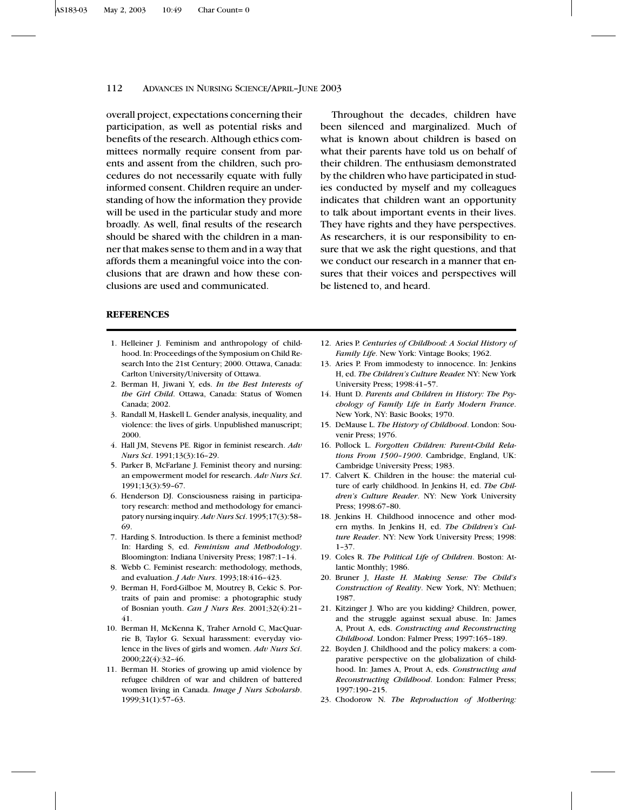overall project, expectations concerning their participation, as well as potential risks and benefits of the research. Although ethics committees normally require consent from parents and assent from the children, such procedures do not necessarily equate with fully informed consent. Children require an understanding of how the information they provide will be used in the particular study and more broadly. As well, final results of the research should be shared with the children in a manner that makes sense to them and in a way that affords them a meaningful voice into the conclusions that are drawn and how these conclusions are used and communicated.

Throughout the decades, children have been silenced and marginalized. Much of what is known about children is based on what their parents have told us on behalf of their children. The enthusiasm demonstrated by the children who have participated in studies conducted by myself and my colleagues indicates that children want an opportunity to talk about important events in their lives. They have rights and they have perspectives. As researchers, it is our responsibility to ensure that we ask the right questions, and that we conduct our research in a manner that ensures that their voices and perspectives will be listened to, and heard.

# **REFERENCES**

- 1. Helleiner J. Feminism and anthropology of childhood. In: Proceedings of the Symposium on Child Research Into the 21st Century; 2000. Ottawa, Canada: Carlton University/University of Ottawa.
- 2. Berman H, Jiwani Y, eds. *In the Best Interests of the Girl Child*. Ottawa, Canada: Status of Women Canada; 2002.
- 3. Randall M, Haskell L. Gender analysis, inequality, and violence: the lives of girls. Unpublished manuscript; 2000.
- 4. Hall JM, Stevens PE. Rigor in feminist research. *Adv Nurs Sci*. 1991;13(3):16–29.
- 5. Parker B, McFarlane J. Feminist theory and nursing: an empowerment model for research. *Adv Nurs Sci*. 1991;13(3):59–67.
- 6. Henderson DJ. Consciousness raising in participatory research: method and methodology for emancipatory nursing inquiry. *Adv Nurs Sci*. 1995;17(3):58– 69.
- 7. Harding S. Introduction. Is there a feminist method? In: Harding S, ed. *Feminism and Methodology*. Bloomington: Indiana University Press; 1987:1–14.
- 8. Webb C. Feminist research: methodology, methods, and evaluation. *J Adv Nurs*. 1993;18:416–423.
- 9. Berman H, Ford-Gilboe M, Moutrey B, Cekic S. Portraits of pain and promise: a photographic study of Bosnian youth. *Can J Nurs Res*. 2001;32(4):21– 41.
- 10. Berman H, McKenna K, Traher Arnold C, MacQuarrie B, Taylor G. Sexual harassment: everyday violence in the lives of girls and women. *Adv Nurs Sci*. 2000;22(4):32–46.
- 11. Berman H. Stories of growing up amid violence by refugee children of war and children of battered women living in Canada. *Image J Nurs Scholarsh*. 1999;31(1):57–63.
- 12. Aries P. *Centuries of Childhood: A Social History of Family Life*. New York: Vintage Books; 1962.
- 13. Aries P. From immodesty to innocence. In: Jenkins H, ed. *The Children's Culture Reader.* NY: New York University Press; 1998:41–57.
- 14. Hunt D. *Parents and Children in History: The Psychology of Family Life in Early Modern France*. New York, NY: Basic Books; 1970.
- 15. DeMause L. *The History of Childhood*. London: Souvenir Press; 1976.
- 16. Pollock L. *Forgotten Children: Parent-Child Relations From 1500–1900*. Cambridge, England, UK: Cambridge University Press; 1983.
- 17. Calvert K. Children in the house: the material culture of early childhood. In Jenkins H, ed. *The Children's Culture Reader*. NY: New York University Press; 1998:67–80.
- 18. Jenkins H. Childhood innocence and other modern myths. In Jenkins H, ed. *The Children's Culture Reader*. NY: New York University Press; 1998: 1–37.
- 19. Coles R. *The Political Life of Children*. Boston: Atlantic Monthly; 1986.
- 20. Bruner J, *Haste H. Making Sense: The Child's Construction of Reality*. New York, NY: Methuen; 1987.
- 21. Kitzinger J. Who are you kidding? Children, power, and the struggle against sexual abuse. In: James A, Prout A, eds. *Constructing and Reconstructing Childhood*. London: Falmer Press; 1997:165–189.
- 22. Boyden J. Childhood and the policy makers: a comparative perspective on the globalization of childhood. In: James A, Prout A, eds. *Constructing and Reconstructing Childhood*. London: Falmer Press; 1997:190–215.
- 23. Chodorow N. *The Reproduction of Mothering:*